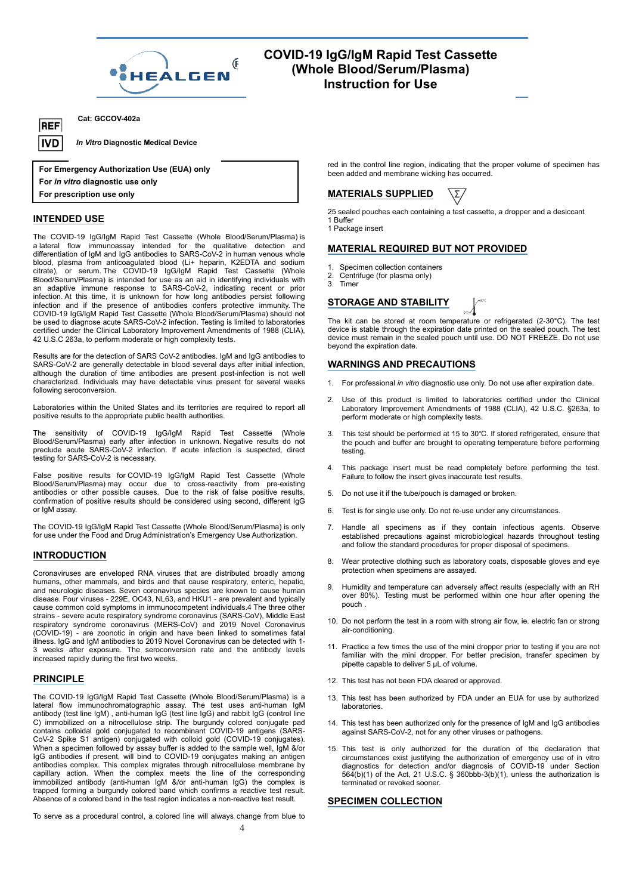

# **COVID-19 IgG/IgM Rapid Test Cassette (Whole Blood/Serum/Plasma) Instruction for Use**

**Cat: GCCOV-402a**

*In Vitro* **Diagnostic Medical Device**

**For Emergency Authorization Use (EUA) only For** *in vitro* **diagnostic use only**

**For prescription use only**

# **INTENDED USE**

**REF** |IVD

The COVID-19 IgG/IgM Rapid Test Cassette (Whole Blood/Serum/Plasma) is a lateral flow immunoassay intended for the qualitative detection and **MAT** differentiation of IgM and IgG antibodies to SARS-CoV-2 in human venous whole **THAT** blood, plasma from anticoagulated blood (Li+ heparin, K2EDTA and sodium citrate), or serum The COVID-19 IgG/IgM Rapid Test Cassette (Whole  $\frac{1}{2}$ Blood/Serum/Plasma) is intended for use as an aid in identifying individuals with an adaptive immune response to SARS-CoV-2, indicating recent or prior infection. At this time, it is unknown for how long antibodies persist following infection and if the presence of antibodies confers protective immunity. The COVID-19 IgG/IgM Rapid Test Cassette (Whole Blood/Serum/Plasma) should not be used to diagnose acute SARS-CoV-2 infection. Testing is limited to laboratories certified under the Clinical Laboratory Improvement Amendments of 1988 (CLIA), 42 U.S.C 263a, to perform moderate or high complexity tests.

Results are for the detection of SARS CoV-2 antibodies. IgM and IgG antibodies to SARS-CoV-2 are generally detectable in blood several days after initial infection,  $WAF$ although the duration of time antibodies are present post-infection is not well characterized. Individuals may have detectable virus present for several weeks following seroconversion.

Laboratories within the United States and its territories are required to report all positive results to the appropriate public health authorities.

The sensitivity of COVID-19 IgG/IgM Rapid Test Cassette (Whole Blood/Serum/Plasma) early after infection in unknown. Negative results do not preclude acute SARS-CoV-2 infection. If acute infection is suspected, direct testing for SARS-CoV-2 is necessary.

False positive results for COVID-19 IgG/IgM Rapid Test Cassette (Whole Blood/Serum/Plasma) may occur due to cross-reactivity from pre-existing antibodies or other possible causes. Due to the risk of false positive results, confirmation of positive results should be considered using second, different IgG or IqM assay.

The COVID-19 IgG/IgM Rapid Test Cassette (Whole Blood/Serum/Plasma) is only  $\qquad 7.$ for use under the Food and Drug Administration's Emergency Use Authorization.

# **INTRODUCTION**

Coronaviruses are enveloped RNA viruses that are distributed broadly among humans, other mammals, and birds and that cause respiratory, enteric, hepatic,<br>and neurologic diseases Seven coronavirus species are known to cause buman 9. Humidity and temperature can adversely affect results (especially and neurologic diseases. Seven coronavirus species are known to cause human disease. Four viruses - 229E, OC43, NL63, and HKU1 - are prevalent and typically cause common cold symptoms in immunocompetent individuals.4 The three other strains - severe acute respiratory syndrome coronavirus (SARS-CoV), Middle East respiratory syndrome coronavirus (MERS-CoV) and 2019 Novel Coronavirus (COVID-19) - are zoonotic in origin and have been linked to sometimes fatal illness. IgG and IgM antibodies to 2019 Novel Coronavirus can be detected with 1- 3 weeks after exposure. The seroconversion rate and the antibody levels increased rapidly during the first two weeks.

## **PRINCIPLE**

The COVID-19 IgG/IgM Rapid Test Cassette (Whole Blood/Serum/Plasma) is a lateral flow immunochromatographic assay. The test uses anti-human IgM antibody (test line IgM) , anti-human IgG (test line IgG) and rabbit IgG (control line C) immobilized on a nitrocellulose strip. The burgundy colored conjugate pad contains colloidal gold conjugated to recombinant COVID-19 antigens (SARS-CoV-2 Spike S1 antigen) conjugated with colloid gold (COVID-19 conjugates). When a specimen followed by assay buffer is added to the sample well, IgM &/or IgG antibodies if present, will bind to COVID-19 conjugates making an antigen antibodies complex. This complex migrates through nitrocellulose membrane by capillary action. When the complex meets the line of the corresponding immobilized antibody (anti-human IgM &/or anti-human IgG) the complex is trapped forming a burgundy colored band which confirms a reactive test result. Absence of a colored band in the test region indicates a non-reactive test result.

To serve as a procedural control, a colored line will always change from blue to

red in the control line region, indicating that the proper volume of specimen has been added and membrane wicking has occurred.

# **MATERIALS SUPPLIED**

25 sealed pouches each containing a test cassette, a dropper and a desiccant 1 Buffer

1 Package insert

# **MATERIAL REQUIRED BUT NOT PROVIDED**

- 1. Specimen collection containers
- Centrifuge (for plasma only)
- 3. Timer

# **STORAGE AND STABILITY**

The kit can be stored at room temperature or refrigerated (2-30°C). The test device is stable through the expiration date printed on the sealed pouch. The test device must remain in the sealed pouch until use. DO NOT FREEZE. Do not use beyond the expiration date.

## **WARNINGS AND PRECAUTIONS**

- 1. For professional *in vitro* diagnostic use only. Do not use after expiration date.
- 2. Use of this product is limited to laboratories certified under the Clinical Laboratory Improvement Amendments of 1988 (CLIA), 42 U.S.C. §263a, to perform moderate or high complexity tests.
- This test should be performed at 15 to 30℃. If stored refrigerated, ensure that the pouch and buffer are brought to operating temperature before performing testing.
- This package insert must be read completely before performing the test. Failure to follow the insert gives inaccurate test results.
- 5. Do not use it if the tube/pouch is damaged or broken.
- 6. Test is for single use only. Do not re-use under any circumstances.
- Handle all specimens as if they contain infectious agents. Observe established precautions against microbiological hazards throughout testing and follow the standard procedures for proper disposal of specimens.
- 8. Wear protective clothing such as laboratory coats, disposable gloves and eye protection when specimens are assayed.
- over 80%). Testing must be performed within one hour after opening the pouch .
- 10. Do not perform the test in a room with strong air flow, ie. electric fan or strong air-conditioning.
- 11. Practice a few times the use of the mini dropper prior to testing if you are not familiar with the mini dropper. For better precision, transfer specimen by pipette capable to deliver 5 μL of volume.
- 12. This test has not been FDA cleared or approved.
- 13. This test has been authorized by FDA under an EUA for use by authorized laboratories.
- 14. This test has been authorized only for the presence of IgM and IgG antibodies against SARS-CoV-2, not for any other viruses or pathogens.
- 15. This test is only authorized for the duration of the declaration that circumstances exist justifying the authorization of emergency use of in vitro diagnostics for detection and/or diagnosis of COVID-19 under Section 564(b)(1) of the Act, 21 U.S.C. § 360bbb-3(b)(1), unless the authorization is terminated or revoked sooner.

# **SPECIMEN COLLECTION**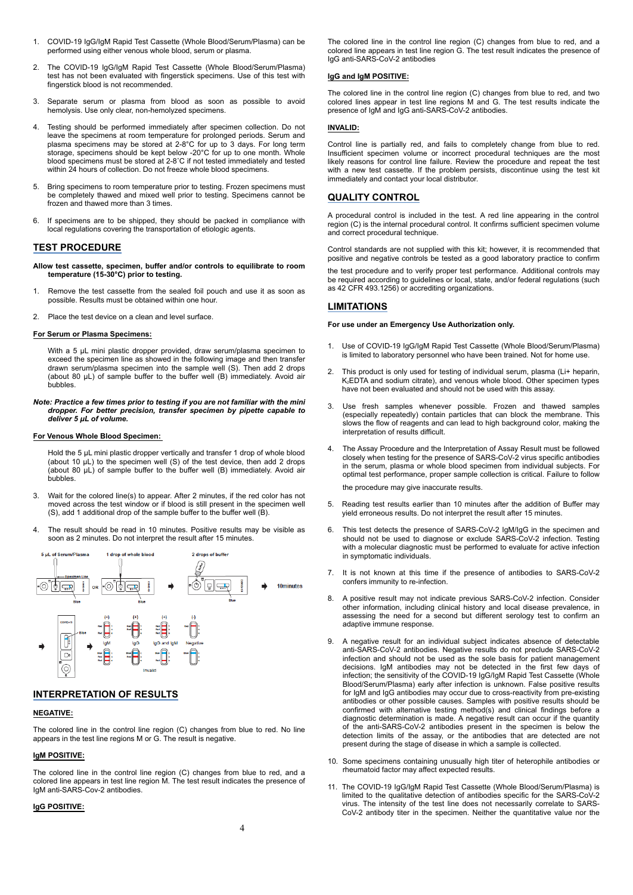- 1. COVID-19 IgG/IgM Rapid Test Cassette (Whole Blood/Serum/Plasma) can be The colored line in the control line region (C) changes from blue to red, and a performed using either venous whole blood, serum or plasma.
- 2. The COVID-19 IgG/IgM Rapid Test Cassette (Whole Blood/Serum/Plasma) test has not been evaluated with fingerstick specimens. Use of this test with fingerstick blood is not recommended.
- 3. Separate serum or plasma from blood as soon as possible to avoid hemolysis. Use only clear, non-hemolyzed specimens.
- 4. Testing should be performed immediately after specimen collection. Do not leave the specimens at room temperature for prolonged periods. Serum and plasma specimens may be stored at 2-8°C for up to 3 days. For long term storage, specimens should be kept below -20°C for up to one month. Whole blood specimens must be stored at 2-8˚C if not tested immediately and tested within 24 hours of collection. Do not freeze whole blood specimens.
- 5. Bring specimens to room temperature prior to testing. Frozen specimens must be completely thawed and mixed well prior to testing. Specimens cannot be frozen and thawed more than 3 times.
- 6. If specimens are to be shipped, they should be packed in compliance with local regulations covering the transportation of etiologic agents.

# **TEST PROCEDURE**

- **Allow test cassette, specimen, buffer and/or controls to equilibrate to room temperature (15-30°C) prior to testing.**
- 1. Remove the test cassette from the sealed foil pouch and use it as soon as possible. Results must be obtained within one hour.
- 2. Place the test device on a clean and level surface.

#### **For Serum or Plasma Specimens:**

With a 5 μL mini plastic dropper provided, draw serum/plasma specimen to exceed the specimen line as showed in the following image and then transfer drawn serum/plasma specimen into the sample well (S). Then add 2 drops  $\sigma$ (about 80 μL) of sample buffer to the buffer well (B) immediately. Avoid air  $\overline{a}$ bubbles.

*Note: Practice a few times prior to testing if you are not familiar with the mini dropper. For better precision, transfer specimen by pipette capable to deliver 5 μL of volume.* 

#### **For Venous Whole Blood Specimen:**

Hold the 5 μL mini plastic dropper vertically and transfer 1 drop of whole blood (about 10 μL) to the specimen well (S) of the test device, then add 2 drops (about 80 μL) of sample buffer to the buffer well (B) immediately. Avoid air bubbles.

- 3. Wait for the colored line(s) to appear. After 2 minutes, if the red color has not moved across the test window or if blood is still present in the specimen well (S), add 1 additional drop of the sample buffer to the buffer well (B).
- 4. The result should be read in 10 minutes. Positive results may be visible as soon as 2 minutes. Do not interpret the result after 15 minutes.



# **INTERPRETATION OF RESULTS**

#### **NEGATIVE:**

The colored line in the control line region (C) changes from blue to red. No line appears in the test line regions M or G. The result is negative.

#### **IgM POSITIVE:**

The colored line in the control line region (C) changes from blue to red, and a rheumatoid factor may affect expected results.<br>
colored line appears in test line region M. The test result indicates the presence of the pres IgM anti-SARS-Cov-2 antibodies.

## **IgG POSITIVE:**

colored line appears in test line region G. The test result indicates the presence of IgG anti-SARS-CoV-2 antibodies

#### **IgG and IgM POSITIVE:**

The colored line in the control line region (C) changes from blue to red, and two colored lines appear in test line regions M and G. The test results indicate the presence of IgM and IgG anti-SARS-CoV-2 antibodies.

## **INVALID:**

Control line is partially red, and fails to completely change from blue to red. Insufficient specimen volume or incorrect procedural techniques are the most likely reasons for control line failure. Review the procedure and repeat the test with a new test cassette. If the problem persists, discontinue using the test kit immediately and contact your local distributor.

## **QUALITY CONTROL**

A procedural control is included in the test. A red line appearing in the control region (C) is the internal procedural control. It confirms sufficient specimen volume and correct procedural technique.

Control standards are not supplied with this kit; however, it is recommended that positive and negative controls be tested as a good laboratory practice to confirm

the test procedure and to verify proper test performance. Additional controls may be required according to guidelines or local, state, and/or federal regulations (such as 42 CFR 493.1256) or accrediting organizations.

# **LIMITATIONS**

#### **For use under an Emergency Use Authorization only.**

- Use of COVID-19 IgG/IgM Rapid Test Cassette (Whole Blood/Serum/Plasma) is limited to laboratory personnel who have been trained. Not for home use.
- 2. This product is only used for testing of individual serum, plasma (Li+ heparin, K<sub>2</sub>EDTA and sodium citrate), and venous whole blood. Other specimen types have not been evaluated and should not be used with this assay.
- Use fresh samples whenever possible. Frozen and thawed samples (especially repeatedly) contain particles that can block the membrane. This slows the flow of reagents and can lead to high background color, making the interpretation of results difficult.
- The Assay Procedure and the Interpretation of Assay Result must be followed closely when testing for the presence of SARS-CoV-2 virus specific antibodies in the serum, plasma or whole blood specimen from individual subjects. For optimal test performance, proper sample collection is critical. Failure to follow the procedure may give inaccurate results.
- 5. Reading test results earlier than 10 minutes after the addition of Buffer may yield erroneous results. Do not interpret the result after 15 minutes.
- 6. This test detects the presence of SARS-CoV-2 IgM/IgG in the specimen and should not be used to diagnose or exclude SARS-CoV-2 infection. Testing with a molecular diagnostic must be performed to evaluate for active infection in symptomatic individuals.
- 7. It is not known at this time if the presence of antibodies to SARS-CoV-2 confers immunity to re-infection.
- 8. A positive result may not indicate previous SARS-CoV-2 infection. Consider other information, including clinical history and local disease prevalence, in assessing the need for a second but different serology test to confirm an adaptive immune response.
- 9. A negative result for an individual subject indicates absence of detectable anti-SARS-CoV-2 antibodies. Negative results do not preclude SARS-CoV-2 infection and should not be used as the sole basis for patient management decisions. IgM antibodies may not be detected in the first few days of infection; the sensitivity of the COVID-19 IgG/IgM Rapid Test Cassette (Whole Blood/Serum/Plasma) early after infection is unknown. False positive results for IgM and IgG antibodies may occur due to cross-reactivity from pre-existing antibodies or other possible causes. Samples with positive results should be diagnostic determination is made. A negative result can occur if the quantity of the anti-SARS-CoV-2 antibodies present in the specimen is below the detection limits of the assay, or the antibodies that are detected are not present during the stage of disease in which a sample is collected.
- 10. Some specimens containing unusually high titer of heterophile antibodies or
- 11. The COVID-19 IgG/IgM Rapid Test Cassette (Whole Blood/Serum/Plasma) is limited to the qualitative detection of antibodies specific for the SARS-CoV-2 virus. The intensity of the test line does not necessarily correlate to SARS-CoV-2 antibody titer in the specimen. Neither the quantitative value nor the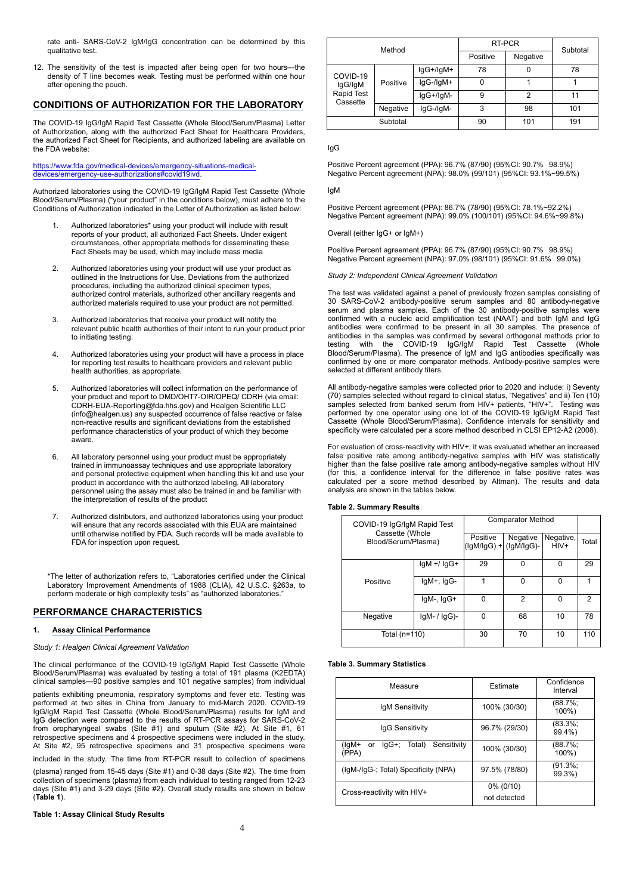rate anti- SARS-CoV-2 IgM/IgG concentration can be determined by this qualitative test.

12. The sensitivity of the test is impacted after being open for two hours—the density of T line becomes weak. Testing must be performed within one hour after opening the pouch.

## **CONDITIONS OF AUTHORIZATION FOR THE LABORATORY**

The COVID-19 IgG/IgM Rapid Test Cassette (Whole Blood/Serum/Plasma) Letter of Authorization, along with the authorized Fact Sheet for Healthcare Providers, the authorized Fact Sheet for Recipients, and authorized labeling are available on the FDA website:

#### https://www.fda.gov/medical-devices/emergency-situations-medicaldevices/emergency-use-authorizations#covid19ivd.

Authorized laboratories using the COVID-19 IgG/IgM Rapid Test Cassette (Whole lgM Blood/Serum/Plasma) ("your product" in the conditions below), must adhere to the Conditions of Authorization indicated in the Letter of Authorization as listed below:

- 1. Authorized laboratories\* using your product will include with result reports of your product, all authorized Fact Sheets. Under exigent circumstances, other appropriate methods for disseminating these Fact Sheets may be used, which may include mass media
- 2. Authorized laboratories using your product will use your product as outlined in the Instructions for Use. Deviations from the authorized procedures, including the authorized clinical specimen types, authorized materials required to use your product are not permitted.
- 3. Authorized laboratories that receive your product will notify the relevant public health authorities of their intent to run your product prior to initiating testing.
- for reporting test results to healthcare providers and relevant public confirmed by one or more compare for the<br>health authorities, as appropriate. health authorities, as appropriate.
- 5. Authorized laboratories will collect information on the performance of your product and report to DMD/OHT7-OIR/OPEQ/ CDRH (via email: CDRH-EUA-Reporting@fda.hhs.gov) and Healgen Scientific LLC (info@healgen.us) any suspected occurrence of false reactive or false non-reactive results and significant deviations from the established performance characteristics of your product of which they become aware. 6. All laboratory personnel using your product must be appropriately
- and personal protective equipment when handling this kit and use your product in accordance with the authorized labeling. All laboratory personnel using the assay must also be trained in and be familiar with the interpretation of results of the product
- 7. Authorized distributors, and authorized laboratories using your product will ensure that any records associated with this EUA are maintained until otherwise notified by FDA. Such records will be made available to FDA for inspection upon request.

\*The letter of authorization refers to, "Laboratories certified under the Clinical Laboratory Improvement Amendments of 1988 (CLIA), 42 U.S.C. §263a, to perform moderate or high complexity tests" as "authorized laboratories."

## **PERFORMANCE CHARACTERISTICS**

# **1. Assay Clinical Performance**

## *Study 1: Healgen Clinical Agreement Validation*

The clinical performance of the COVID-19 IgG/IgM Rapid Test Cassette (Whole Blood/Serum/Plasma) was evaluated by testing a total of 191 plasma (K2EDTA) clinical samples—90 positive samples and 101 negative samples) from individual

patients exhibiting pneumonia, respiratory symptoms and fever etc. Testing was performed at two sites in China from January to mid-March 2020. COVID-19 IgG/IgM Rapid Test Cassette (Whole Blood/Serum/Plasma) results for IgM and IgG detection were compared to the results of RT-PCR assays for SARS-CoV-2 from oropharyngeal swabs (Site #1) and sputum (Site #2). At Site #1, 61 retrospective specimens and 4 prospective specimens were included in the study. At Site #2, 95 retrospective specimens and 31 prospective specimens were

included in the study. The time from RT-PCR result to collection of specimens

(plasma) ranged from 15-45 days (Site #1) and 0-38 days (Site #2). The time from collection of specimens (plasma) from each individual to testing ranged from 12-23 days (Site #1) and 3-29 days (Site #2). Overall study results are shown in below (**Table 1**).

## **Table 1: Assay Clinical Study Results**

| Method                                        |          | RT-PCR    | Subtotal |     |     |  |
|-----------------------------------------------|----------|-----------|----------|-----|-----|--|
|                                               |          | Positive  | Negative |     |     |  |
| COVID-19<br>lgG/lgM<br>Rapid Test<br>Cassette | Positive | lgG+/lgM+ | 78       |     | 78  |  |
|                                               |          | lgG-/lgM+ | 0        |     |     |  |
|                                               |          | IgG+/IgM- | 9        |     | 11  |  |
|                                               | Negative | IgG-/IgM- | 3        | 98  | 101 |  |
| Subtotal                                      |          | 90        | 101      | 191 |     |  |

IgG

Positive Percent agreement (PPA): 96.7% (87/90) (95%CI: 90.7% 98.9%) Negative Percent agreement (NPA): 98.0% (99/101) (95%CI: 93.1%~99.5%)

IgM

Positive Percent agreement (PPA): 86.7% (78/90) (95%CI: 78.1%~92.2%) Negative Percent agreement (NPA): 99.0% (100/101) (95%CI: 94.6%~99.8%)

Overall (either IgG+ or IgM+)

Positive Percent agreement (PPA): 96.7% (87/90) (95%CI: 90.7% 98.9%) Negative Percent agreement (NPA): 97.0% (98/101) (95%CI: 91.6% 99.0%)

*Study 2: Independent Clinical Agreement Validation*

authorized control materials, authorized other ancillary reagents and The test was validated against a panel of previously frozen samples consisting of authorized materials required to use your product are not permitted. 3 4. Authorized laboratories using your product will have a process in place Blood/Serum/Plasma). The presence of IgM and IgG antibodies specifically was The test was validated against a panel of previously frozen samples consisting of serum and plasma samples. Each of the 30 antibody-positive samples were confirmed with a nucleic acid amplification test (NAAT) and both IgM and IgG antibodies were confirmed to be present in all 30 samples. The presence of antibodies in the samples was confirmed by several orthogonal methods prior to testing with the COVID-19 IgG/IgM Rapid Test Cassette (Whole confirmed by one or more comparator methods. Antibody-positive samples were

> All antibody-negative samples were collected prior to 2020 and include: i) Seventy Final samples selected without regard to clinical status, "Negatives" and ii) Ten (10) samples selected without regard to clinical status, "Negatives" and ii) Ten (10) samples selected from banked serum from HIV+ patients, performed by one operator using one lot of the COVID-19 IgG/IgM Rapid Test Cassette (Whole Blood/Serum/Plasma). Confidence intervals for sensitivity and specificity were calculated per a score method described in CLSI EP12-A2 (2008).

trained in immunoassay techniques and use appropriate laboratory bigher than the false positive rate among antibody-negative samples without HIV<br>and personal protective equipment when handling this kit and use your (for th For evaluation of cross-reactivity with HIV+, it was evaluated whether an increased false positive rate among antibody-negative samples with HIV was statistically higher than the false positive rate among antibody-negative samples without HIV calculated per a score method described by Altman). The results and data analysis are shown in the tables below.

#### **Table 2. Summary Results**

|  | COVID-19 IgG/IgM Rapid Test<br>Cassette (Whole<br>Blood/Serum/Plasma) |                   | <b>Comparator Method</b> |                                     |                   |       |
|--|-----------------------------------------------------------------------|-------------------|--------------------------|-------------------------------------|-------------------|-------|
|  |                                                                       |                   | Positive                 | Negative<br>(lgM/lgG) +  (lgM/lgG)- | Negative,<br>HIV+ | Total |
|  |                                                                       | $IqM$ +/ $IqG+$   | 29                       | O                                   | $\Omega$          | 29    |
|  | Positive                                                              | $IqM+$ , $IqG-$   |                          | O                                   | $\Omega$          | 4     |
|  |                                                                       | $IqM-$ , $IqG+$   | $\Omega$                 | 2                                   | 0                 | 2     |
|  | Negative                                                              | $lgM-$ / $lgG$ )- | $\Omega$                 | 68                                  | 10                | 78    |
|  | Total (n=110)                                                         |                   | 30                       | 70                                  | 10                | 110   |

#### **Table 3. Summary Statistics**

| Measure                                                | Estimate      | Confidence<br>Interval |
|--------------------------------------------------------|---------------|------------------------|
| IgM Sensitivity                                        | 100% (30/30)  | (88.7%;<br>100%)       |
| laG Sensitivity                                        | 96.7% (29/30) | $(83.3\%;$<br>99.4%)   |
| (lgM+<br>Sensitivity<br>Total)<br>lgG+;<br>or<br>(PPA) | 100% (30/30)  | $(88.7\%);$<br>100%)   |
| (IgM-/IgG-; Total) Specificity (NPA)                   | 97.5% (78/80) | (91.3%;<br>99.3%)      |
| Cross-reactivity with HIV+                             | $0\%$ (0/10)  |                        |
|                                                        | not detected  |                        |